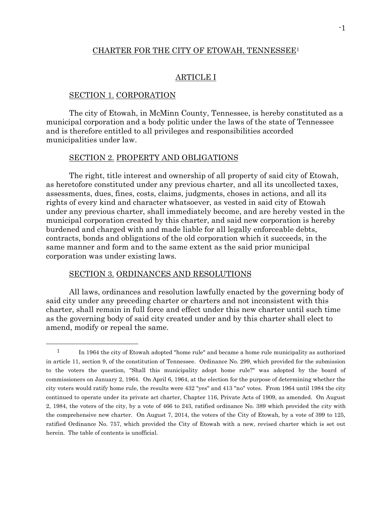## CHARTER FOR THE CITY OF ETOWAH, TENNESSEE<sup>1</sup>

# ARTICLE I

#### SECTION 1. CORPORATION

 $\overline{a}$ 

The city of Etowah, in McMinn County, Tennessee, is hereby constituted as a municipal corporation and a body politic under the laws of the state of Tennessee and is therefore entitled to all privileges and responsibilities accorded municipalities under law.

#### SECTION 2. PROPERTY AND OBLIGATIONS

The right, title interest and ownership of all property of said city of Etowah, as heretofore constituted under any previous charter, and all its uncollected taxes, assessments, dues, fines, costs, claims, judgments, choses in actions, and all its rights of every kind and character whatsoever, as vested in said city of Etowah under any previous charter, shall immediately become, and are hereby vested in the municipal corporation created by this charter, and said new corporation is hereby burdened and charged with and made liable for all legally enforceable debts, contracts, bonds and obligations of the old corporation which it succeeds, in the same manner and form and to the same extent as the said prior municipal corporation was under existing laws.

# SECTION 3. ORDINANCES AND RESOLUTIONS

All laws, ordinances and resolution lawfully enacted by the governing body of said city under any preceding charter or charters and not inconsistent with this charter, shall remain in full force and effect under this new charter until such time as the governing body of said city created under and by this charter shall elect to amend, modify or repeal the same.

<sup>&</sup>lt;sup>1</sup> In 1964 the city of Etowah adopted "home rule" and became a home rule municipality as authorized in article 11, section 9, of the constitution of Tennessee. Ordinance No. 299, which provided for the submission to the voters the question, "Shall this municipality adopt home rule?" was adopted by the board of commissioners on January 2, 1964. On April 6, 1964, at the election for the purpose of determining whether the city voters would ratify home rule, the results were 432 "yes" and 413 "no" votes. From 1964 until 1984 the city continued to operate under its private act charter, Chapter 116, Private Acts of 1909, as amended. On August 2, 1984, the voters of the city, by a vote of 466 to 243, ratified ordinance No. 389 which provided the city with the comprehensive new charter. On August 7, 2014, the voters of the City of Etowah, by a vote of 399 to 125, ratified Ordinance No. 757, which provided the City of Etowah with a new, revised charter which is set out herein. The table of contents is unofficial.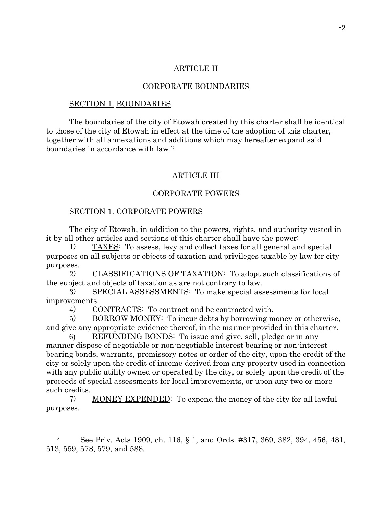# ARTICLE II

#### CORPORATE BOUNDARIES

#### SECTION 1. BOUNDARIES

The boundaries of the city of Etowah created by this charter shall be identical to those of the city of Etowah in effect at the time of the adoption of this charter, together with all annexations and additions which may hereafter expand said boundaries in accordance with law.<sup>2</sup>

### ARTICLE III

### CORPORATE POWERS

#### SECTION 1. CORPORATE POWERS

l

The city of Etowah, in addition to the powers, rights, and authority vested in it by all other articles and sections of this charter shall have the power:

1) TAXES: To assess, levy and collect taxes for all general and special purposes on all subjects or objects of taxation and privileges taxable by law for city purposes.

2) CLASSIFICATIONS OF TAXATION: To adopt such classifications of the subject and objects of taxation as are not contrary to law.

3) SPECIAL ASSESSMENTS: To make special assessments for local improvements.

4) CONTRACTS: To contract and be contracted with.

5) BORROW MONEY: To incur debts by borrowing money or otherwise, and give any appropriate evidence thereof, in the manner provided in this charter.

6) REFUNDING BONDS: To issue and give, sell, pledge or in any manner dispose of negotiable or non-negotiable interest bearing or non-interest bearing bonds, warrants, promissory notes or order of the city, upon the credit of the city or solely upon the credit of income derived from any property used in connection with any public utility owned or operated by the city, or solely upon the credit of the proceeds of special assessments for local improvements, or upon any two or more such credits.

7) MONEY EXPENDED: To expend the money of the city for all lawful purposes.

<sup>2</sup> See Priv. Acts 1909, ch. 116, § 1, and Ords. #317, 369, 382, 394, 456, 481, 513, 559, 578, 579, and 588.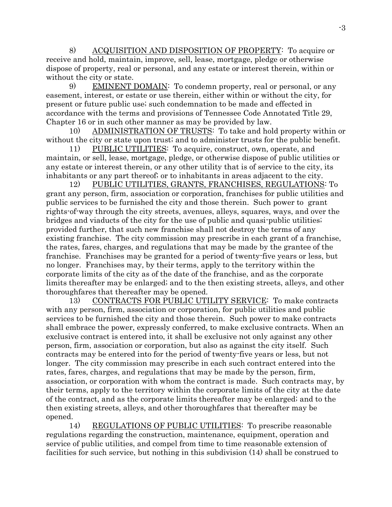8) ACQUISITION AND DISPOSITION OF PROPERTY: To acquire or receive and hold, maintain, improve, sell, lease, mortgage, pledge or otherwise dispose of property, real or personal, and any estate or interest therein, within or without the city or state.

9) EMINENT DOMAIN: To condemn property, real or personal, or any easement, interest, or estate or use therein, either within or without the city, for present or future public use; such condemnation to be made and effected in accordance with the terms and provisions of Tennessee Code Annotated Title 29, Chapter 16 or in such other manner as may be provided by law.

10) ADMINISTRATION OF TRUSTS: To take and hold property within or without the city or state upon trust; and to administer trusts for the public benefit.

11) PUBLIC UTILITIES: To acquire, construct, own, operate, and maintain, or sell, lease, mortgage, pledge, or otherwise dispose of public utilities or any estate or interest therein, or any other utility that is of service to the city, its inhabitants or any part thereof; or to inhabitants in areas adjacent to the city.

12) PUBLIC UTILITIES, GRANTS, FRANCHISES, REGULATIONS: To grant any person, firm, association or corporation, franchises for public utilities and public services to be furnished the city and those therein. Such power to grant rights-of-way through the city streets, avenues, alleys, squares, ways, and over the bridges and viaducts of the city for the use of public and quasi-public utilities; provided further, that such new franchise shall not destroy the terms of any existing franchise. The city commission may prescribe in each grant of a franchise, the rates, fares, charges, and regulations that may be made by the grantee of the franchise. Franchises may be granted for a period of twenty-five years or less, but no longer. Franchises may, by their terms, apply to the territory within the corporate limits of the city as of the date of the franchise, and as the corporate limits thereafter may be enlarged; and to the then existing streets, alleys, and other thoroughfares that thereafter may be opened.

13) CONTRACTS FOR PUBLIC UTILITY SERVICE: To make contracts with any person, firm, association or corporation, for public utilities and public services to be furnished the city and those therein. Such power to make contracts shall embrace the power, expressly conferred, to make exclusive contracts. When an exclusive contract is entered into, it shall be exclusive not only against any other person, firm, association or corporation, but also as against the city itself. Such contracts may be entered into for the period of twenty-five years or less, but not longer. The city commission may prescribe in each such contract entered into the rates, fares, charges, and regulations that may be made by the person, firm, association, or corporation with whom the contract is made. Such contracts may, by their terms, apply to the territory within the corporate limits of the city at the date of the contract, and as the corporate limits thereafter may be enlarged; and to the then existing streets, alleys, and other thoroughfares that thereafter may be opened.

14) REGULATIONS OF PUBLIC UTILITIES: To prescribe reasonable regulations regarding the construction, maintenance, equipment, operation and service of public utilities, and compel from time to time reasonable extension of facilities for such service, but nothing in this subdivision (14) shall be construed to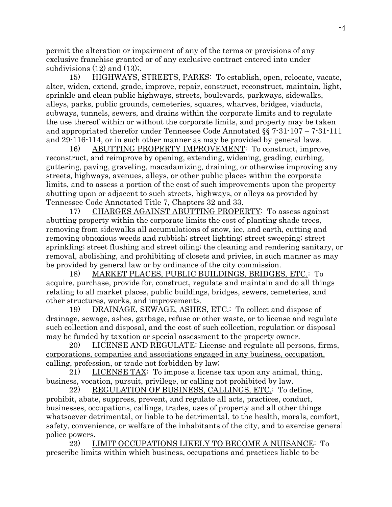permit the alteration or impairment of any of the terms or provisions of any exclusive franchise granted or of any exclusive contract entered into under subdivisions  $(12)$  and  $(13)$ ;

15) HIGHWAYS, STREETS, PARKS: To establish, open, relocate, vacate, alter, widen, extend, grade, improve, repair, construct, reconstruct, maintain, light, sprinkle and clean public highways, streets, boulevards, parkways, sidewalks, alleys, parks, public grounds, cemeteries, squares, wharves, bridges, viaducts, subways, tunnels, sewers, and drains within the corporate limits and to regulate the use thereof within or without the corporate limits, and property may be taken and appropriated therefor under Tennessee Code Annotated §§ 7-31-107 – 7-31-111 and 29-116-114, or in such other manner as may be provided by general laws.

16) ABUTTING PROPERTY IMPROVEMENT: To construct, improve, reconstruct, and reimprove by opening, extending, widening, grading, curbing, guttering, paving, graveling, macadamizing, draining, or otherwise improving any streets, highways, avenues, alleys, or other public places within the corporate limits, and to assess a portion of the cost of such improvements upon the property abutting upon or adjacent to such streets, highways, or alleys as provided by Tennessee Code Annotated Title 7, Chapters 32 and 33.

17) CHARGES AGAINST ABUTTING PROPERTY: To assess against abutting property within the corporate limits the cost of planting shade trees, removing from sidewalks all accumulations of snow, ice, and earth, cutting and removing obnoxious weeds and rubbish; street lighting; street sweeping; street sprinkling; street flushing and street oiling; the cleaning and rendering sanitary, or removal, abolishing, and prohibiting of closets and privies, in such manner as may be provided by general law or by ordinance of the city commission.

18) MARKET PLACES, PUBLIC BUILDINGS, BRIDGES, ETC.: To acquire, purchase, provide for, construct, regulate and maintain and do all things relating to all market places, public buildings, bridges, sewers, cemeteries, and other structures, works, and improvements.

19) DRAINAGE, SEWAGE, ASHES, ETC.: To collect and dispose of drainage, sewage, ashes, garbage, refuse or other waste, or to license and regulate such collection and disposal, and the cost of such collection, regulation or disposal may be funded by taxation or special assessment to the property owner.

20) LICENSE AND REGULATE: License and regulate all persons, firms, corporations, companies and associations engaged in any business, occupation, calling, profession, or trade not forbidden by law;

21) LICENSE TAX: To impose a license tax upon any animal, thing, business, vocation, pursuit, privilege, or calling not prohibited by law.

22) REGULATION OF BUSINESS, CALLINGS, ETC.: To define, prohibit, abate, suppress, prevent, and regulate all acts, practices, conduct, businesses, occupations, callings, trades, uses of property and all other things whatsoever detrimental, or liable to be detrimental, to the health, morals, comfort, safety, convenience, or welfare of the inhabitants of the city, and to exercise general police powers.

23) LIMIT OCCUPATIONS LIKELY TO BECOME A NUISANCE: To prescribe limits within which business, occupations and practices liable to be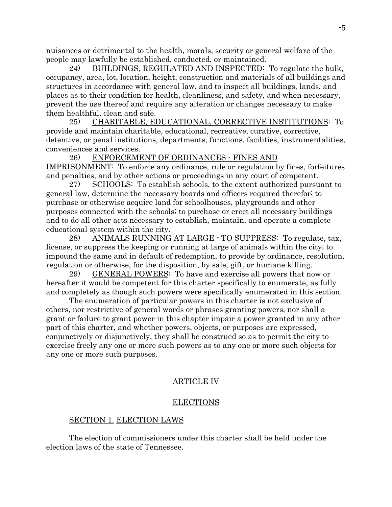nuisances or detrimental to the health, morals, security or general welfare of the people may lawfully be established, conducted, or maintained.

24) BUILDINGS, REGULATED AND INSPECTED: To regulate the bulk, occupancy, area, lot, location, height, construction and materials of all buildings and structures in accordance with general law, and to inspect all buildings, lands, and places as to their condition for health, cleanliness, and safety, and when necessary, prevent the use thereof and require any alteration or changes necessary to make them healthful, clean and safe.

25) CHARITABLE, EDUCATIONAL, CORRECTIVE INSTITUTIONS: To provide and maintain charitable, educational, recreative, curative, corrective, detentive, or penal institutions, departments, functions, facilities, instrumentalities, conveniences and services.

26) ENFORCEMENT OF ORDINANCES - FINES AND IMPRISONMENT: To enforce any ordinance, rule or regulation by fines, forfeitures and penalties, and by other actions or proceedings in any court of competent.

27) SCHOOLS: To establish schools, to the extent authorized pursuant to general law, determine the necessary boards and officers required therefor; to purchase or otherwise acquire land for schoolhouses, playgrounds and other purposes connected with the schools; to purchase or erect all necessary buildings and to do all other acts necessary to establish, maintain, and operate a complete educational system within the city.

28) ANIMALS RUNNING AT LARGE - TO SUPPRESS: To regulate, tax, license, or suppress the keeping or running at large of animals within the city; to impound the same and in default of redemption, to provide by ordinance, resolution, regulation or otherwise, for the disposition, by sale, gift, or humane killing.

29) GENERAL POWERS: To have and exercise all powers that now or hereafter it would be competent for this charter specifically to enumerate, as fully and completely as though such powers were specifically enumerated in this section.

The enumeration of particular powers in this charter is not exclusive of others, nor restrictive of general words or phrases granting powers, nor shall a grant or failure to grant power in this chapter impair a power granted in any other part of this charter, and whether powers, objects, or purposes are expressed, conjunctively or disjunctively, they shall be construed so as to permit the city to exercise freely any one or more such powers as to any one or more such objects for any one or more such purposes.

# ARTICLE IV

# ELECTIONS

# SECTION 1. ELECTION LAWS

The election of commissioners under this charter shall be held under the election laws of the state of Tennessee.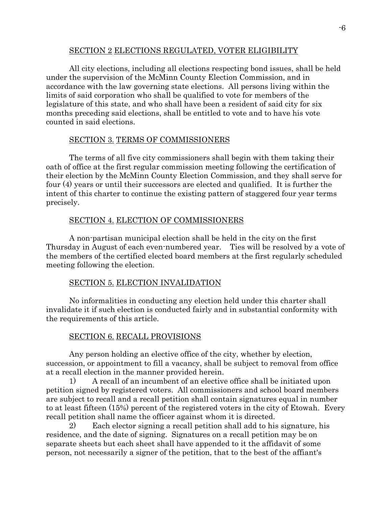## SECTION 2 ELECTIONS REGULATED, VOTER ELIGIBILITY

All city elections, including all elections respecting bond issues, shall be held under the supervision of the McMinn County Election Commission, and in accordance with the law governing state elections. All persons living within the limits of said corporation who shall be qualified to vote for members of the legislature of this state, and who shall have been a resident of said city for six months preceding said elections, shall be entitled to vote and to have his vote counted in said elections.

# SECTION 3. TERMS OF COMMISSIONERS

The terms of all five city commissioners shall begin with them taking their oath of office at the first regular commission meeting following the certification of their election by the McMinn County Election Commission, and they shall serve for four (4) years or until their successors are elected and qualified. It is further the intent of this charter to continue the existing pattern of staggered four year terms precisely.

# SECTION 4. ELECTION OF COMMISSIONERS

A non-partisan municipal election shall be held in the city on the first Thursday in August of each even-numbered year. Ties will be resolved by a vote of the members of the certified elected board members at the first regularly scheduled meeting following the election.

# SECTION 5. ELECTION INVALIDATION

No informalities in conducting any election held under this charter shall invalidate it if such election is conducted fairly and in substantial conformity with the requirements of this article.

# SECTION 6. RECALL PROVISIONS

Any person holding an elective office of the city, whether by election, succession, or appointment to fill a vacancy, shall be subject to removal from office at a recall election in the manner provided herein.

1) A recall of an incumbent of an elective office shall be initiated upon petition signed by registered voters. All commissioners and school board members are subject to recall and a recall petition shall contain signatures equal in number to at least fifteen (15%) percent of the registered voters in the city of Etowah. Every recall petition shall name the officer against whom it is directed.

2) Each elector signing a recall petition shall add to his signature, his residence, and the date of signing. Signatures on a recall petition may be on separate sheets but each sheet shall have appended to it the affidavit of some person, not necessarily a signer of the petition, that to the best of the affiant's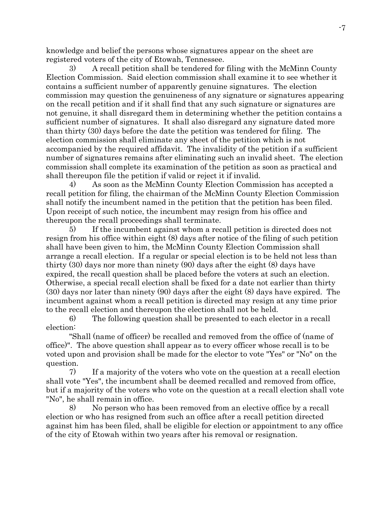knowledge and belief the persons whose signatures appear on the sheet are registered voters of the city of Etowah, Tennessee.

3) A recall petition shall be tendered for filing with the McMinn County Election Commission. Said election commission shall examine it to see whether it contains a sufficient number of apparently genuine signatures. The election commission may question the genuineness of any signature or signatures appearing on the recall petition and if it shall find that any such signature or signatures are not genuine, it shall disregard them in determining whether the petition contains a sufficient number of signatures. It shall also disregard any signature dated more than thirty (30) days before the date the petition was tendered for filing. The election commission shall eliminate any sheet of the petition which is not accompanied by the required affidavit. The invalidity of the petition if a sufficient number of signatures remains after eliminating such an invalid sheet. The election commission shall complete its examination of the petition as soon as practical and shall thereupon file the petition if valid or reject it if invalid.

4) As soon as the McMinn County Election Commission has accepted a recall petition for filing, the chairman of the McMinn County Election Commission shall notify the incumbent named in the petition that the petition has been filed. Upon receipt of such notice, the incumbent may resign from his office and thereupon the recall proceedings shall terminate.

5) If the incumbent against whom a recall petition is directed does not resign from his office within eight (8) days after notice of the filing of such petition shall have been given to him, the McMinn County Election Commission shall arrange a recall election. If a regular or special election is to be held not less than thirty (30) days nor more than ninety (90) days after the eight (8) days have expired, the recall question shall be placed before the voters at such an election. Otherwise, a special recall election shall be fixed for a date not earlier than thirty (30) days nor later than ninety (90) days after the eight (8) days have expired. The incumbent against whom a recall petition is directed may resign at any time prior to the recall election and thereupon the election shall not be held.

6) The following question shall be presented to each elector in a recall election:

"Shall (name of officer) be recalled and removed from the office of (name of office)". The above question shall appear as to every officer whose recall is to be voted upon and provision shall be made for the elector to vote "Yes" or "No" on the question.

7) If a majority of the voters who vote on the question at a recall election shall vote "Yes", the incumbent shall be deemed recalled and removed from office, but if a majority of the voters who vote on the question at a recall election shall vote "No", he shall remain in office.

8) No person who has been removed from an elective office by a recall election or who has resigned from such an office after a recall petition directed against him has been filed, shall be eligible for election or appointment to any office of the city of Etowah within two years after his removal or resignation.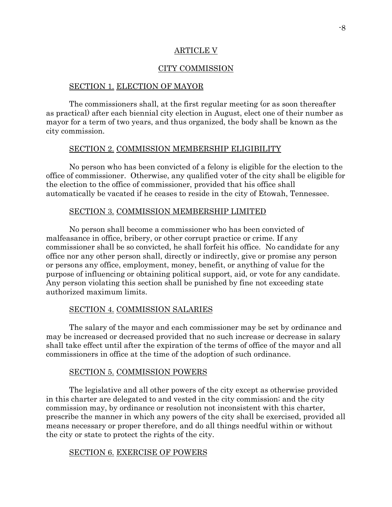## ARTICLE V

## CITY COMMISSION

#### SECTION 1. ELECTION OF MAYOR

The commissioners shall, at the first regular meeting (or as soon thereafter as practical) after each biennial city election in August, elect one of their number as mayor for a term of two years, and thus organized, the body shall be known as the city commission.

## SECTION 2. COMMISSION MEMBERSHIP ELIGIBILITY

No person who has been convicted of a felony is eligible for the election to the office of commissioner. Otherwise, any qualified voter of the city shall be eligible for the election to the office of commissioner, provided that his office shall automatically be vacated if he ceases to reside in the city of Etowah, Tennessee.

### SECTION 3. COMMISSION MEMBERSHIP LIMITED

No person shall become a commissioner who has been convicted of malfeasance in office, bribery, or other corrupt practice or crime. If any commissioner shall be so convicted, he shall forfeit his office. No candidate for any office nor any other person shall, directly or indirectly, give or promise any person or persons any office, employment, money, benefit, or anything of value for the purpose of influencing or obtaining political support, aid, or vote for any candidate. Any person violating this section shall be punished by fine not exceeding state authorized maximum limits.

#### SECTION 4. COMMISSION SALARIES

The salary of the mayor and each commissioner may be set by ordinance and may be increased or decreased provided that no such increase or decrease in salary shall take effect until after the expiration of the terms of office of the mayor and all commissioners in office at the time of the adoption of such ordinance.

#### SECTION 5. COMMISSION POWERS

The legislative and all other powers of the city except as otherwise provided in this charter are delegated to and vested in the city commission; and the city commission may, by ordinance or resolution not inconsistent with this charter, prescribe the manner in which any powers of the city shall be exercised, provided all means necessary or proper therefore, and do all things needful within or without the city or state to protect the rights of the city.

#### SECTION 6. EXERCISE OF POWERS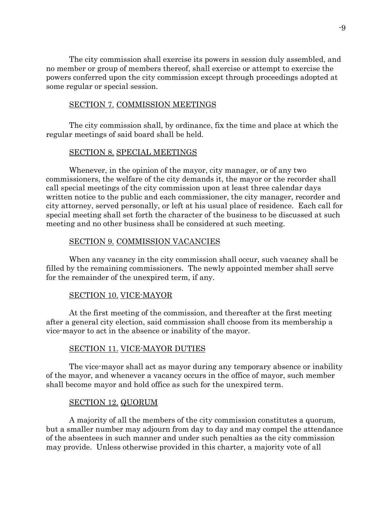The city commission shall exercise its powers in session duly assembled, and no member or group of members thereof, shall exercise or attempt to exercise the powers conferred upon the city commission except through proceedings adopted at some regular or special session.

## SECTION 7. COMMISSION MEETINGS

The city commission shall, by ordinance, fix the time and place at which the regular meetings of said board shall be held.

## SECTION 8. SPECIAL MEETINGS

Whenever, in the opinion of the mayor, city manager, or of any two commissioners, the welfare of the city demands it, the mayor or the recorder shall call special meetings of the city commission upon at least three calendar days written notice to the public and each commissioner, the city manager, recorder and city attorney, served personally, or left at his usual place of residence. Each call for special meeting shall set forth the character of the business to be discussed at such meeting and no other business shall be considered at such meeting.

## SECTION 9. COMMISSION VACANCIES

When any vacancy in the city commission shall occur, such vacancy shall be filled by the remaining commissioners. The newly appointed member shall serve for the remainder of the unexpired term, if any.

### SECTION 10. VICE-MAYOR

At the first meeting of the commission, and thereafter at the first meeting after a general city election, said commission shall choose from its membership a vice-mayor to act in the absence or inability of the mayor.

### SECTION 11. VICE-MAYOR DUTIES

The vice-mayor shall act as mayor during any temporary absence or inability of the mayor, and whenever a vacancy occurs in the office of mayor, such member shall become mayor and hold office as such for the unexpired term.

### SECTION 12. QUORUM

A majority of all the members of the city commission constitutes a quorum, but a smaller number may adjourn from day to day and may compel the attendance of the absentees in such manner and under such penalties as the city commission may provide. Unless otherwise provided in this charter, a majority vote of all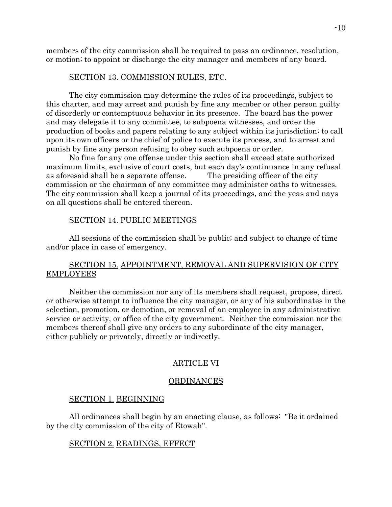members of the city commission shall be required to pass an ordinance, resolution, or motion; to appoint or discharge the city manager and members of any board.

#### SECTION 13. COMMISSION RULES, ETC.

The city commission may determine the rules of its proceedings, subject to this charter, and may arrest and punish by fine any member or other person guilty of disorderly or contemptuous behavior in its presence. The board has the power and may delegate it to any committee, to subpoena witnesses, and order the production of books and papers relating to any subject within its jurisdiction; to call upon its own officers or the chief of police to execute its process, and to arrest and punish by fine any person refusing to obey such subpoena or order.

No fine for any one offense under this section shall exceed state authorized maximum limits, exclusive of court costs, but each day's continuance in any refusal as aforesaid shall be a separate offense. The presiding officer of the city commission or the chairman of any committee may administer oaths to witnesses. The city commission shall keep a journal of its proceedings, and the yeas and nays on all questions shall be entered thereon.

#### SECTION 14. PUBLIC MEETINGS

All sessions of the commission shall be public; and subject to change of time and/or place in case of emergency.

# SECTION 15. APPOINTMENT, REMOVAL AND SUPERVISION OF CITY EMPLOYEES

Neither the commission nor any of its members shall request, propose, direct or otherwise attempt to influence the city manager, or any of his subordinates in the selection, promotion, or demotion, or removal of an employee in any administrative service or activity, or office of the city government. Neither the commission nor the members thereof shall give any orders to any subordinate of the city manager, either publicly or privately, directly or indirectly.

#### ARTICLE VI

#### ORDINANCES

#### SECTION 1. BEGINNING

All ordinances shall begin by an enacting clause, as follows: "Be it ordained by the city commission of the city of Etowah".

## SECTION 2. READINGS, EFFECT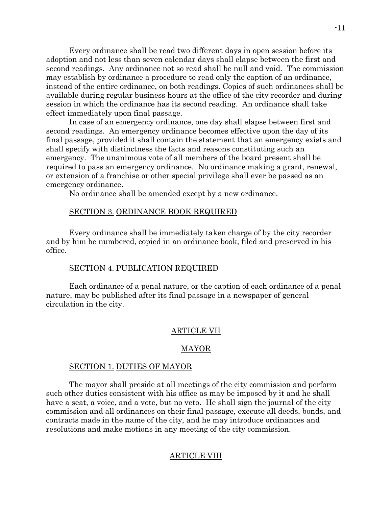Every ordinance shall be read two different days in open session before its adoption and not less than seven calendar days shall elapse between the first and second readings. Any ordinance not so read shall be null and void. The commission may establish by ordinance a procedure to read only the caption of an ordinance, instead of the entire ordinance, on both readings. Copies of such ordinances shall be available during regular business hours at the office of the city recorder and during session in which the ordinance has its second reading. An ordinance shall take effect immediately upon final passage.

In case of an emergency ordinance, one day shall elapse between first and second readings. An emergency ordinance becomes effective upon the day of its final passage, provided it shall contain the statement that an emergency exists and shall specify with distinctness the facts and reasons constituting such an emergency. The unanimous vote of all members of the board present shall be required to pass an emergency ordinance. No ordinance making a grant, renewal, or extension of a franchise or other special privilege shall ever be passed as an emergency ordinance.

No ordinance shall be amended except by a new ordinance.

### SECTION 3. ORDINANCE BOOK REQUIRED

Every ordinance shall be immediately taken charge of by the city recorder and by him be numbered, copied in an ordinance book, filed and preserved in his office.

## SECTION 4. PUBLICATION REQUIRED

Each ordinance of a penal nature, or the caption of each ordinance of a penal nature, may be published after its final passage in a newspaper of general circulation in the city.

#### ARTICLE VII

#### MAYOR

### SECTION 1. DUTIES OF MAYOR

The mayor shall preside at all meetings of the city commission and perform such other duties consistent with his office as may be imposed by it and he shall have a seat, a voice, and a vote, but no veto. He shall sign the journal of the city commission and all ordinances on their final passage, execute all deeds, bonds, and contracts made in the name of the city, and he may introduce ordinances and resolutions and make motions in any meeting of the city commission.

### ARTICLE VIII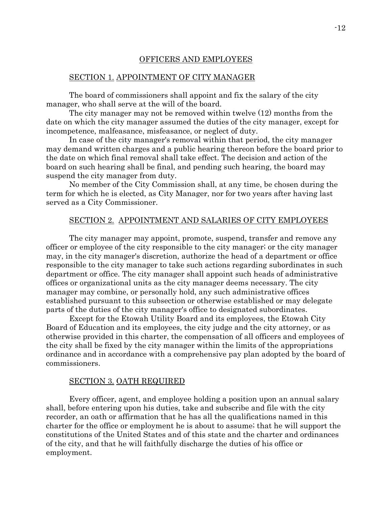## OFFICERS AND EMPLOYEES

#### SECTION 1. APPOINTMENT OF CITY MANAGER

The board of commissioners shall appoint and fix the salary of the city manager, who shall serve at the will of the board.

The city manager may not be removed within twelve (12) months from the date on which the city manager assumed the duties of the city manager, except for incompetence, malfeasance, misfeasance, or neglect of duty.

In case of the city manager's removal within that period, the city manager may demand written charges and a public hearing thereon before the board prior to the date on which final removal shall take effect. The decision and action of the board on such hearing shall be final, and pending such hearing, the board may suspend the city manager from duty.

No member of the City Commission shall, at any time, be chosen during the term for which he is elected, as City Manager, nor for two years after having last served as a City Commissioner.

#### SECTION 2. APPOINTMENT AND SALARIES OF CITY EMPLOYEES

The city manager may appoint, promote, suspend, transfer and remove any officer or employee of the city responsible to the city manager; or the city manager may, in the city manager's discretion, authorize the head of a department or office responsible to the city manager to take such actions regarding subordinates in such department or office. The city manager shall appoint such heads of administrative offices or organizational units as the city manager deems necessary. The city manager may combine, or personally hold, any such administrative offices established pursuant to this subsection or otherwise established or may delegate parts of the duties of the city manager's office to designated subordinates.

Except for the Etowah Utility Board and its employees, the Etowah City Board of Education and its employees, the city judge and the city attorney, or as otherwise provided in this charter, the compensation of all officers and employees of the city shall be fixed by the city manager within the limits of the appropriations ordinance and in accordance with a comprehensive pay plan adopted by the board of commissioners.

#### SECTION 3. OATH REQUIRED

Every officer, agent, and employee holding a position upon an annual salary shall, before entering upon his duties, take and subscribe and file with the city recorder, an oath or affirmation that he has all the qualifications named in this charter for the office or employment he is about to assume; that he will support the constitutions of the United States and of this state and the charter and ordinances of the city, and that he will faithfully discharge the duties of his office or employment.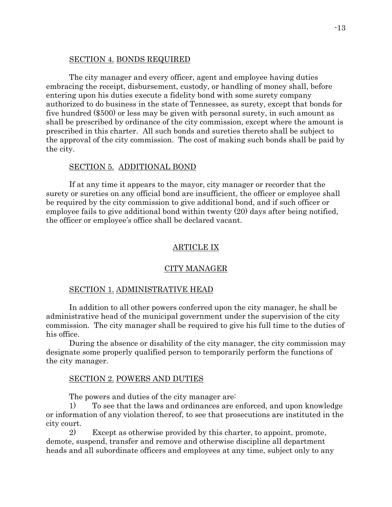## SECTION 4. BONDS REQUIRED

The city manager and every officer, agent and employee having duties embracing the receipt, disbursement, custody, or handling of money shall, before entering upon his duties execute a fidelity bond with some surety company authorized to do business in the state of Tennessee, as surety, except that bonds for five hundred (\$500) or less may be given with personal surety, in such amount as shall be prescribed by ordinance of the city commission, except where the amount is prescribed in this charter. All such bonds and sureties thereto shall be subject to the approval of the city commission. The cost of making such bonds shall be paid by the city.

# SECTION 5. ADDITIONAL BOND

If at any time it appears to the mayor, city manager or recorder that the surety or sureties on any official bond are insufficient, the officer or employee shall be required by the city commission to give additional bond, and if such officer or employee fails to give additional bond within twenty (20) days after being notified, the officer or employee's office shall be declared vacant.

# ARTICLE IX

### CITY MANAGER

#### SECTION 1. ADMINISTRATIVE HEAD

In addition to all other powers conferred upon the city manager, he shall be administrative head of the municipal government under the supervision of the city commission. The city manager shall be required to give his full time to the duties of his office.

During the absence or disability of the city manager, the city commission may designate some properly qualified person to temporarily perform the functions of the city manager.

#### SECTION 2. POWERS AND DUTIES

The powers and duties of the city manager are:

1) To see that the laws and ordinances are enforced, and upon knowledge or information of any violation thereof, to see that prosecutions are instituted in the city court.

2) Except as otherwise provided by this charter, to appoint, promote, demote, suspend, transfer and remove and otherwise discipline all department heads and all subordinate officers and employees at any time, subject only to any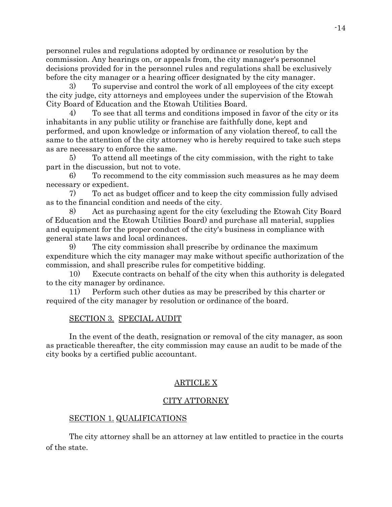personnel rules and regulations adopted by ordinance or resolution by the commission. Any hearings on, or appeals from, the city manager's personnel decisions provided for in the personnel rules and regulations shall be exclusively before the city manager or a hearing officer designated by the city manager.

3) To supervise and control the work of all employees of the city except the city judge, city attorneys and employees under the supervision of the Etowah City Board of Education and the Etowah Utilities Board.

4) To see that all terms and conditions imposed in favor of the city or its inhabitants in any public utility or franchise are faithfully done, kept and performed, and upon knowledge or information of any violation thereof, to call the same to the attention of the city attorney who is hereby required to take such steps as are necessary to enforce the same.

5) To attend all meetings of the city commission, with the right to take part in the discussion, but not to vote.

6) To recommend to the city commission such measures as he may deem necessary or expedient.

7) To act as budget officer and to keep the city commission fully advised as to the financial condition and needs of the city.

Act as purchasing agent for the city (excluding the Etowah City Board) of Education and the Etowah Utilities Board) and purchase all material, supplies and equipment for the proper conduct of the city's business in compliance with general state laws and local ordinances.

9) The city commission shall prescribe by ordinance the maximum expenditure which the city manager may make without specific authorization of the commission, and shall prescribe rules for competitive bidding.

10) Execute contracts on behalf of the city when this authority is delegated to the city manager by ordinance.

11) Perform such other duties as may be prescribed by this charter or required of the city manager by resolution or ordinance of the board.

# SECTION 3. SPECIAL AUDIT

In the event of the death, resignation or removal of the city manager, as soon as practicable thereafter, the city commission may cause an audit to be made of the city books by a certified public accountant.

# ARTICLE X

# CITY ATTORNEY

# SECTION 1. QUALIFICATIONS

The city attorney shall be an attorney at law entitled to practice in the courts of the state.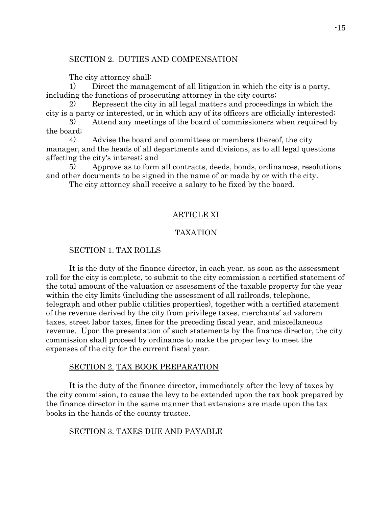## SECTION 2. DUTIES AND COMPENSATION

The city attorney shall:

1) Direct the management of all litigation in which the city is a party, including the functions of prosecuting attorney in the city courts;

2) Represent the city in all legal matters and proceedings in which the city is a party or interested, or in which any of its officers are officially interested;

3) Attend any meetings of the board of commissioners when required by the board;

4) Advise the board and committees or members thereof, the city manager, and the heads of all departments and divisions, as to all legal questions affecting the city's interest; and

5) Approve as to form all contracts, deeds, bonds, ordinances, resolutions and other documents to be signed in the name of or made by or with the city.

The city attorney shall receive a salary to be fixed by the board.

# ARTICLE XI

# TAXATION

### SECTION 1. TAX ROLLS

It is the duty of the finance director, in each year, as soon as the assessment roll for the city is complete, to submit to the city commission a certified statement of the total amount of the valuation or assessment of the taxable property for the year within the city limits (including the assessment of all railroads, telephone, telegraph and other public utilities properties), together with a certified statement of the revenue derived by the city from privilege taxes, merchants' ad valorem taxes, street labor taxes, fines for the preceding fiscal year, and miscellaneous revenue. Upon the presentation of such statements by the finance director, the city commission shall proceed by ordinance to make the proper levy to meet the expenses of the city for the current fiscal year.

# SECTION 2. TAX BOOK PREPARATION

It is the duty of the finance director, immediately after the levy of taxes by the city commission, to cause the levy to be extended upon the tax book prepared by the finance director in the same manner that extensions are made upon the tax books in the hands of the county trustee.

# SECTION 3. TAXES DUE AND PAYABLE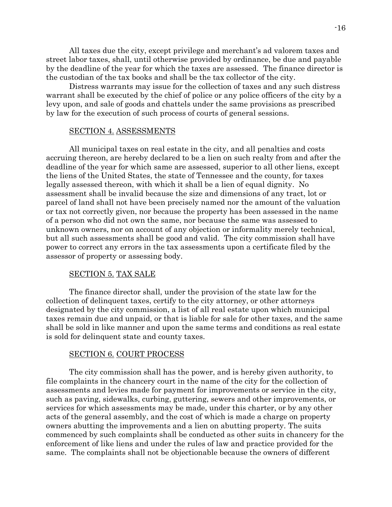All taxes due the city, except privilege and merchant's ad valorem taxes and street labor taxes, shall, until otherwise provided by ordinance, be due and payable by the deadline of the year for which the taxes are assessed. The finance director is the custodian of the tax books and shall be the tax collector of the city.

Distress warrants may issue for the collection of taxes and any such distress warrant shall be executed by the chief of police or any police officers of the city by a levy upon, and sale of goods and chattels under the same provisions as prescribed by law for the execution of such process of courts of general sessions.

#### SECTION 4. ASSESSMENTS

All municipal taxes on real estate in the city, and all penalties and costs accruing thereon, are hereby declared to be a lien on such realty from and after the deadline of the year for which same are assessed, superior to all other liens, except the liens of the United States, the state of Tennessee and the county, for taxes legally assessed thereon, with which it shall be a lien of equal dignity. No assessment shall be invalid because the size and dimensions of any tract, lot or parcel of land shall not have been precisely named nor the amount of the valuation or tax not correctly given, nor because the property has been assessed in the name of a person who did not own the same, nor because the same was assessed to unknown owners, nor on account of any objection or informality merely technical, but all such assessments shall be good and valid. The city commission shall have power to correct any errors in the tax assessments upon a certificate filed by the assessor of property or assessing body.

### SECTION 5. TAX SALE

The finance director shall, under the provision of the state law for the collection of delinquent taxes, certify to the city attorney, or other attorneys designated by the city commission, a list of all real estate upon which municipal taxes remain due and unpaid, or that is liable for sale for other taxes, and the same shall be sold in like manner and upon the same terms and conditions as real estate is sold for delinquent state and county taxes.

#### SECTION 6. COURT PROCESS

The city commission shall has the power, and is hereby given authority, to file complaints in the chancery court in the name of the city for the collection of assessments and levies made for payment for improvements or service in the city, such as paving, sidewalks, curbing, guttering, sewers and other improvements, or services for which assessments may be made, under this charter, or by any other acts of the general assembly, and the cost of which is made a charge on property owners abutting the improvements and a lien on abutting property. The suits commenced by such complaints shall be conducted as other suits in chancery for the enforcement of like liens and under the rules of law and practice provided for the same. The complaints shall not be objectionable because the owners of different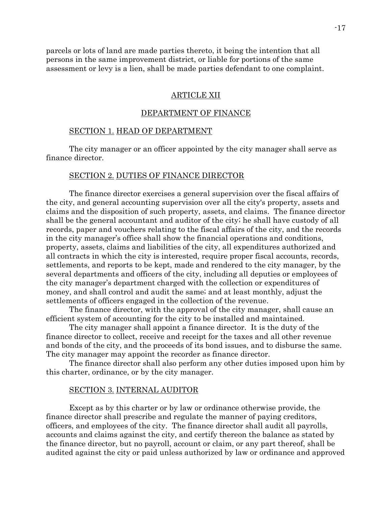parcels or lots of land are made parties thereto, it being the intention that all persons in the same improvement district, or liable for portions of the same assessment or levy is a lien, shall be made parties defendant to one complaint.

#### ARTICLE XII

### DEPARTMENT OF FINANCE

## SECTION 1. HEAD OF DEPARTMENT

The city manager or an officer appointed by the city manager shall serve as finance director.

#### SECTION 2. DUTIES OF FINANCE DIRECTOR

The finance director exercises a general supervision over the fiscal affairs of the city, and general accounting supervision over all the city's property, assets and claims and the disposition of such property, assets, and claims. The finance director shall be the general accountant and auditor of the city; he shall have custody of all records, paper and vouchers relating to the fiscal affairs of the city, and the records in the city manager's office shall show the financial operations and conditions, property, assets, claims and liabilities of the city, all expenditures authorized and all contracts in which the city is interested, require proper fiscal accounts, records, settlements, and reports to be kept, made and rendered to the city manager, by the several departments and officers of the city, including all deputies or employees of the city manager's department charged with the collection or expenditures of money, and shall control and audit the same; and at least monthly, adjust the settlements of officers engaged in the collection of the revenue.

The finance director, with the approval of the city manager, shall cause an efficient system of accounting for the city to be installed and maintained.

The city manager shall appoint a finance director. It is the duty of the finance director to collect, receive and receipt for the taxes and all other revenue and bonds of the city, and the proceeds of its bond issues, and to disburse the same. The city manager may appoint the recorder as finance director.

The finance director shall also perform any other duties imposed upon him by this charter, ordinance, or by the city manager.

#### SECTION 3. INTERNAL AUDITOR

Except as by this charter or by law or ordinance otherwise provide, the finance director shall prescribe and regulate the manner of paying creditors, officers, and employees of the city. The finance director shall audit all payrolls, accounts and claims against the city, and certify thereon the balance as stated by the finance director, but no payroll, account or claim, or any part thereof, shall be audited against the city or paid unless authorized by law or ordinance and approved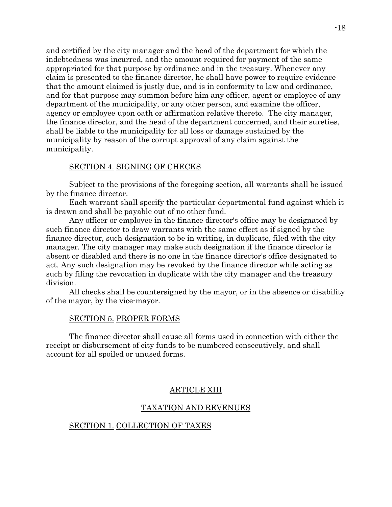and certified by the city manager and the head of the department for which the indebtedness was incurred, and the amount required for payment of the same appropriated for that purpose by ordinance and in the treasury. Whenever any claim is presented to the finance director, he shall have power to require evidence that the amount claimed is justly due, and is in conformity to law and ordinance, and for that purpose may summon before him any officer, agent or employee of any department of the municipality, or any other person, and examine the officer, agency or employee upon oath or affirmation relative thereto. The city manager, the finance director, and the head of the department concerned, and their sureties, shall be liable to the municipality for all loss or damage sustained by the municipality by reason of the corrupt approval of any claim against the municipality.

# SECTION 4. SIGNING OF CHECKS

Subject to the provisions of the foregoing section, all warrants shall be issued by the finance director.

Each warrant shall specify the particular departmental fund against which it is drawn and shall be payable out of no other fund.

Any officer or employee in the finance director's office may be designated by such finance director to draw warrants with the same effect as if signed by the finance director, such designation to be in writing, in duplicate, filed with the city manager. The city manager may make such designation if the finance director is absent or disabled and there is no one in the finance director's office designated to act. Any such designation may be revoked by the finance director while acting as such by filing the revocation in duplicate with the city manager and the treasury division.

All checks shall be countersigned by the mayor, or in the absence or disability of the mayor, by the vice-mayor.

#### SECTION 5. PROPER FORMS

The finance director shall cause all forms used in connection with either the receipt or disbursement of city funds to be numbered consecutively, and shall account for all spoiled or unused forms.

#### ARTICLE XIII

#### TAXATION AND REVENUES

#### SECTION 1. COLLECTION OF TAXES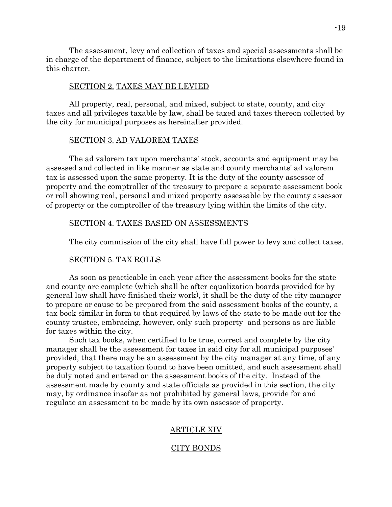The assessment, levy and collection of taxes and special assessments shall be in charge of the department of finance, subject to the limitations elsewhere found in this charter.

## SECTION 2. TAXES MAY BE LEVIED

All property, real, personal, and mixed, subject to state, county, and city taxes and all privileges taxable by law, shall be taxed and taxes thereon collected by the city for municipal purposes as hereinafter provided.

## SECTION 3. AD VALOREM TAXES

The ad valorem tax upon merchants' stock, accounts and equipment may be assessed and collected in like manner as state and county merchants' ad valorem tax is assessed upon the same property. It is the duty of the county assessor of property and the comptroller of the treasury to prepare a separate assessment book or roll showing real, personal and mixed property assessable by the county assessor of property or the comptroller of the treasury lying within the limits of the city.

#### SECTION 4. TAXES BASED ON ASSESSMENTS

The city commission of the city shall have full power to levy and collect taxes.

### SECTION 5. TAX ROLLS

As soon as practicable in each year after the assessment books for the state and county are complete (which shall be after equalization boards provided for by general law shall have finished their work), it shall be the duty of the city manager to prepare or cause to be prepared from the said assessment books of the county, a tax book similar in form to that required by laws of the state to be made out for the county trustee, embracing, however, only such property and persons as are liable for taxes within the city.

Such tax books, when certified to be true, correct and complete by the city manager shall be the assessment for taxes in said city for all municipal purposes' provided, that there may be an assessment by the city manager at any time, of any property subject to taxation found to have been omitted, and such assessment shall be duly noted and entered on the assessment books of the city. Instead of the assessment made by county and state officials as provided in this section, the city may, by ordinance insofar as not prohibited by general laws, provide for and regulate an assessment to be made by its own assessor of property.

### ARTICLE XIV

### CITY BONDS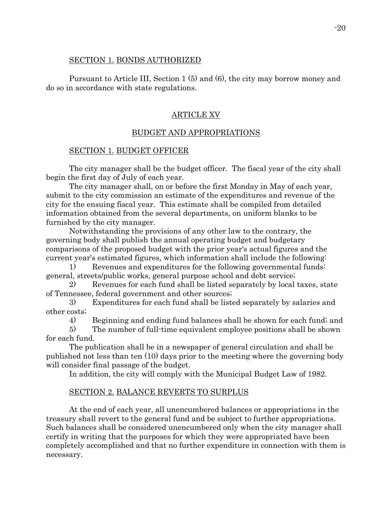# SECTION 1. BONDS AUTHORIZED

Pursuant to Article III, Section 1 (5) and (6), the city may borrow money and do so in accordance with state regulations.

# ARTICLE XV

# BUDGET AND APPROPRIATIONS

## SECTION 1. BUDGET OFFICER

The city manager shall be the budget officer. The fiscal year of the city shall begin the first day of July of each year.

The city manager shall, on or before the first Monday in May of each year, submit to the city commission an estimate of the expenditures and revenue of the city for the ensuing fiscal year. This estimate shall be compiled from detailed information obtained from the several departments, on uniform blanks to be furnished by the city manager.

Notwithstanding the provisions of any other law to the contrary, the governing body shall publish the annual operating budget and budgetary comparisons of the proposed budget with the prior year's actual figures and the current year's estimated figures, which information shall include the following:

1) Revenues and expenditures for the following governmental funds: general, streets/public works, general purpose school and debt service;

2) Revenues for each fund shall be listed separately by local taxes, state of Tennessee, federal government and other sources;

3) Expenditures for each fund shall be listed separately by salaries and other costs;

4) Beginning and ending fund balances shall be shown for each fund; and

5) The number of full-time equivalent employee positions shall be shown for each fund.

The publication shall be in a newspaper of general circulation and shall be published not less than ten (10) days prior to the meeting where the governing body will consider final passage of the budget.

In addition, the city will comply with the Municipal Budget Law of 1982.

# SECTION 2. BALANCE REVERTS TO SURPLUS

At the end of each year, all unencumbered balances or appropriations in the treasury shall revert to the general fund and be subject to further appropriations. Such balances shall be considered unencumbered only when the city manager shall certify in writing that the purposes for which they were appropriated have been completely accomplished and that no further expenditure in connection with them is necessary.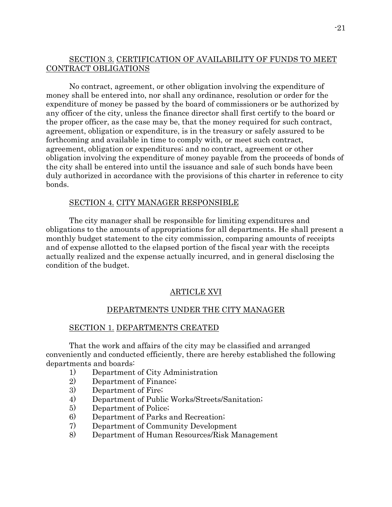# SECTION 3. CERTIFICATION OF AVAILABILITY OF FUNDS TO MEET CONTRACT OBLIGATIONS

No contract, agreement, or other obligation involving the expenditure of money shall be entered into, nor shall any ordinance, resolution or order for the expenditure of money be passed by the board of commissioners or be authorized by any officer of the city, unless the finance director shall first certify to the board or the proper officer, as the case may be, that the money required for such contract, agreement, obligation or expenditure, is in the treasury or safely assured to be forthcoming and available in time to comply with, or meet such contract, agreement, obligation or expenditures; and no contract, agreement or other obligation involving the expenditure of money payable from the proceeds of bonds of the city shall be entered into until the issuance and sale of such bonds have been duly authorized in accordance with the provisions of this charter in reference to city bonds.

# SECTION 4. CITY MANAGER RESPONSIBLE

The city manager shall be responsible for limiting expenditures and obligations to the amounts of appropriations for all departments. He shall present a monthly budget statement to the city commission, comparing amounts of receipts and of expense allotted to the elapsed portion of the fiscal year with the receipts actually realized and the expense actually incurred, and in general disclosing the condition of the budget.

### ARTICLE XVI

## DEPARTMENTS UNDER THE CITY MANAGER

#### SECTION 1. DEPARTMENTS CREATED

That the work and affairs of the city may be classified and arranged conveniently and conducted efficiently, there are hereby established the following departments and boards:

- 1) Department of City Administration
- 2) Department of Finance;
- 3) Department of Fire;
- 4) Department of Public Works/Streets/Sanitation;
- 5) Department of Police;
- 6) Department of Parks and Recreation;
- 7) Department of Community Development
- 8) Department of Human Resources/Risk Management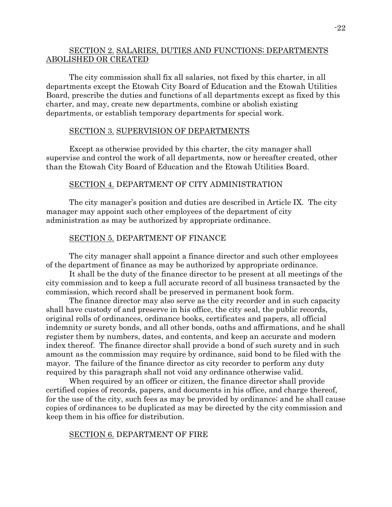# SECTION 2. SALARIES, DUTIES AND FUNCTIONS; DEPARTMENTS ABOLISHED OR CREATED

The city commission shall fix all salaries, not fixed by this charter, in all departments except the Etowah City Board of Education and the Etowah Utilities Board, prescribe the duties and functions of all departments except as fixed by this charter, and may, create new departments, combine or abolish existing departments, or establish temporary departments for special work.

## SECTION 3. SUPERVISION OF DEPARTMENTS

Except as otherwise provided by this charter, the city manager shall supervise and control the work of all departments, now or hereafter created, other than the Etowah City Board of Education and the Etowah Utilities Board.

## SECTION 4. DEPARTMENT OF CITY ADMINISTRATION

The city manager's position and duties are described in Article IX. The city manager may appoint such other employees of the department of city administration as may be authorized by appropriate ordinance.

## SECTION 5. DEPARTMENT OF FINANCE

The city manager shall appoint a finance director and such other employees of the department of finance as may be authorized by appropriate ordinance.

It shall be the duty of the finance director to be present at all meetings of the city commission and to keep a full accurate record of all business transacted by the commission, which record shall be preserved in permanent book form.

The finance director may also serve as the city recorder and in such capacity shall have custody of and preserve in his office, the city seal, the public records, original rolls of ordinances, ordinance books, certificates and papers, all official indemnity or surety bonds, and all other bonds, oaths and affirmations, and he shall register them by numbers, dates, and contents, and keep an accurate and modern index thereof. The finance director shall provide a bond of such surety and in such amount as the commission may require by ordinance, said bond to be filed with the mayor. The failure of the finance director as city recorder to perform any duty required by this paragraph shall not void any ordinance otherwise valid.

When required by an officer or citizen, the finance director shall provide certified copies of records, papers, and documents in his office, and charge thereof, for the use of the city, such fees as may be provided by ordinance; and he shall cause copies of ordinances to be duplicated as may be directed by the city commission and keep them in his office for distribution.

# SECTION 6. DEPARTMENT OF FIRE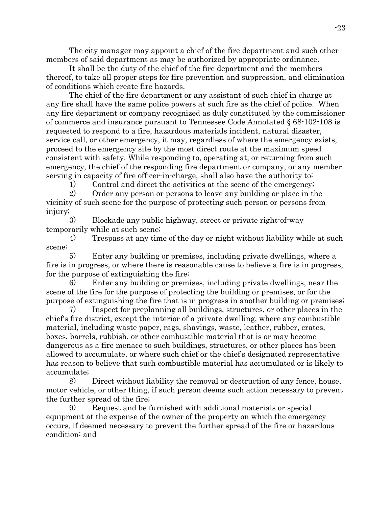The city manager may appoint a chief of the fire department and such other members of said department as may be authorized by appropriate ordinance.

It shall be the duty of the chief of the fire department and the members thereof, to take all proper steps for fire prevention and suppression, and elimination of conditions which create fire hazards.

The chief of the fire department or any assistant of such chief in charge at any fire shall have the same police powers at such fire as the chief of police. When any fire department or company recognized as duly constituted by the commissioner of commerce and insurance pursuant to Tennessee Code Annotated § 68-102-108 is requested to respond to a fire, hazardous materials incident, natural disaster, service call, or other emergency, it may, regardless of where the emergency exists, proceed to the emergency site by the most direct route at the maximum speed consistent with safety. While responding to, operating at, or returning from such emergency, the chief of the responding fire department or company, or any member serving in capacity of fire officer-in-charge, shall also have the authority to:

1) Control and direct the activities at the scene of the emergency;

2) Order any person or persons to leave any building or place in the vicinity of such scene for the purpose of protecting such person or persons from injury;

3) Blockade any public highway, street or private right-of-way temporarily while at such scene;

4) Trespass at any time of the day or night without liability while at such scene;

5) Enter any building or premises, including private dwellings, where a fire is in progress, or where there is reasonable cause to believe a fire is in progress, for the purpose of extinguishing the fire;

6) Enter any building or premises, including private dwellings, near the scene of the fire for the purpose of protecting the building or premises, or for the purpose of extinguishing the fire that is in progress in another building or premises;

7) Inspect for preplanning all buildings, structures, or other places in the chief's fire district, except the interior of a private dwelling, where any combustible material, including waste paper, rags, shavings, waste, leather, rubber, crates, boxes, barrels, rubbish, or other combustible material that is or may become dangerous as a fire menace to such buildings, structures, or other places has been allowed to accumulate, or where such chief or the chief's designated representative has reason to believe that such combustible material has accumulated or is likely to accumulate;

8) Direct without liability the removal or destruction of any fence, house, motor vehicle, or other thing, if such person deems such action necessary to prevent the further spread of the fire;

9) Request and be furnished with additional materials or special equipment at the expense of the owner of the property on which the emergency occurs, if deemed necessary to prevent the further spread of the fire or hazardous condition; and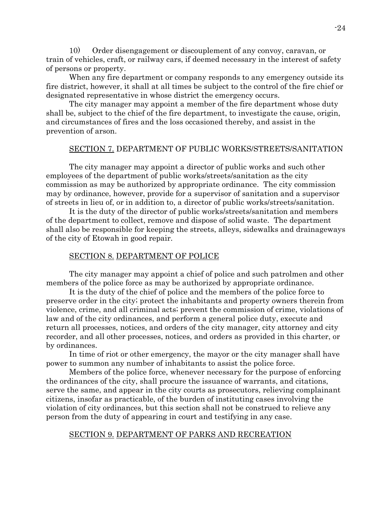10) Order disengagement or discouplement of any convoy, caravan, or train of vehicles, craft, or railway cars, if deemed necessary in the interest of safety of persons or property.

When any fire department or company responds to any emergency outside its fire district, however, it shall at all times be subject to the control of the fire chief or designated representative in whose district the emergency occurs.

The city manager may appoint a member of the fire department whose duty shall be, subject to the chief of the fire department, to investigate the cause, origin, and circumstances of fires and the loss occasioned thereby, and assist in the prevention of arson.

# SECTION 7. DEPARTMENT OF PUBLIC WORKS/STREETS/SANITATION

The city manager may appoint a director of public works and such other employees of the department of public works/streets/sanitation as the city commission as may be authorized by appropriate ordinance. The city commission may by ordinance, however, provide for a supervisor of sanitation and a supervisor of streets in lieu of, or in addition to, a director of public works/streets/sanitation.

It is the duty of the director of public works/streets/sanitation and members of the department to collect, remove and dispose of solid waste. The department shall also be responsible for keeping the streets, alleys, sidewalks and drainageways of the city of Etowah in good repair.

## SECTION 8. DEPARTMENT OF POLICE

The city manager may appoint a chief of police and such patrolmen and other members of the police force as may be authorized by appropriate ordinance.

It is the duty of the chief of police and the members of the police force to preserve order in the city; protect the inhabitants and property owners therein from violence, crime, and all criminal acts; prevent the commission of crime, violations of law and of the city ordinances, and perform a general police duty, execute and return all processes, notices, and orders of the city manager, city attorney and city recorder, and all other processes, notices, and orders as provided in this charter, or by ordinances.

In time of riot or other emergency, the mayor or the city manager shall have power to summon any number of inhabitants to assist the police force.

Members of the police force, whenever necessary for the purpose of enforcing the ordinances of the city, shall procure the issuance of warrants, and citations, serve the same, and appear in the city courts as prosecutors, relieving complainant citizens, insofar as practicable, of the burden of instituting cases involving the violation of city ordinances, but this section shall not be construed to relieve any person from the duty of appearing in court and testifying in any case.

#### SECTION 9. DEPARTMENT OF PARKS AND RECREATION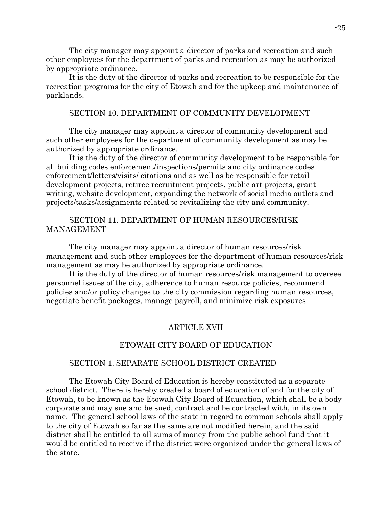The city manager may appoint a director of parks and recreation and such other employees for the department of parks and recreation as may be authorized by appropriate ordinance.

It is the duty of the director of parks and recreation to be responsible for the recreation programs for the city of Etowah and for the upkeep and maintenance of parklands.

## SECTION 10. DEPARTMENT OF COMMUNITY DEVELOPMENT

The city manager may appoint a director of community development and such other employees for the department of community development as may be authorized by appropriate ordinance.

It is the duty of the director of community development to be responsible for all building codes enforcement/inspections/permits and city ordinance codes enforcement/letters/visits/ citations and as well as be responsible for retail development projects, retiree recruitment projects, public art projects, grant writing, website development, expanding the network of social media outlets and projects/tasks/assignments related to revitalizing the city and community.

# SECTION 11. DEPARTMENT OF HUMAN RESOURCES/RISK MANAGEMENT

The city manager may appoint a director of human resources/risk management and such other employees for the department of human resources/risk management as may be authorized by appropriate ordinance.

It is the duty of the director of human resources/risk management to oversee personnel issues of the city, adherence to human resource policies, recommend policies and/or policy changes to the city commission regarding human resources, negotiate benefit packages, manage payroll, and minimize risk exposures.

### ARTICLE XVII

### ETOWAH CITY BOARD OF EDUCATION

## SECTION 1. SEPARATE SCHOOL DISTRICT CREATED

The Etowah City Board of Education is hereby constituted as a separate school district. There is hereby created a board of education of and for the city of Etowah, to be known as the Etowah City Board of Education, which shall be a body corporate and may sue and be sued, contract and be contracted with, in its own name. The general school laws of the state in regard to common schools shall apply to the city of Etowah so far as the same are not modified herein, and the said district shall be entitled to all sums of money from the public school fund that it would be entitled to receive if the district were organized under the general laws of the state.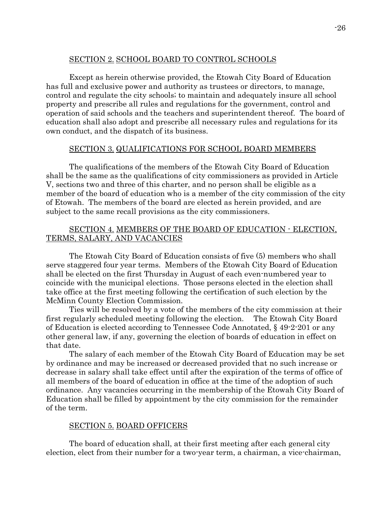# SECTION 2. SCHOOL BOARD TO CONTROL SCHOOLS

Except as herein otherwise provided, the Etowah City Board of Education has full and exclusive power and authority as trustees or directors, to manage, control and regulate the city schools; to maintain and adequately insure all school property and prescribe all rules and regulations for the government, control and operation of said schools and the teachers and superintendent thereof. The board of education shall also adopt and prescribe all necessary rules and regulations for its own conduct, and the dispatch of its business.

# SECTION 3. QUALIFICATIONS FOR SCHOOL BOARD MEMBERS

The qualifications of the members of the Etowah City Board of Education shall be the same as the qualifications of city commissioners as provided in Article V, sections two and three of this charter, and no person shall be eligible as a member of the board of education who is a member of the city commission of the city of Etowah. The members of the board are elected as herein provided, and are subject to the same recall provisions as the city commissioners.

# SECTION 4. MEMBERS OF THE BOARD OF EDUCATION - ELECTION, TERMS, SALARY, AND VACANCIES

The Etowah City Board of Education consists of five (5) members who shall serve staggered four year terms. Members of the Etowah City Board of Education shall be elected on the first Thursday in August of each even-numbered year to coincide with the municipal elections. Those persons elected in the election shall take office at the first meeting following the certification of such election by the McMinn County Election Commission.

Ties will be resolved by a vote of the members of the city commission at their first regularly scheduled meeting following the election. The Etowah City Board of Education is elected according to Tennessee Code Annotated, § 49-2-201 or any other general law, if any, governing the election of boards of education in effect on that date.

The salary of each member of the Etowah City Board of Education may be set by ordinance and may be increased or decreased provided that no such increase or decrease in salary shall take effect until after the expiration of the terms of office of all members of the board of education in office at the time of the adoption of such ordinance. Any vacancies occurring in the membership of the Etowah City Board of Education shall be filled by appointment by the city commission for the remainder of the term.

### SECTION 5. BOARD OFFICERS

The board of education shall, at their first meeting after each general city election, elect from their number for a two-year term, a chairman, a vice-chairman,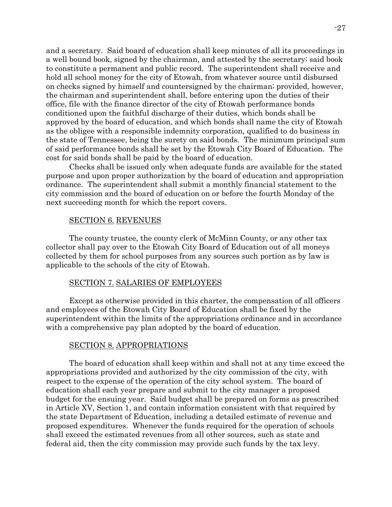and a secretary. Said board of education shall keep minutes of all its proceedings in a well bound book, signed by the chairman, and attested by the secretary; said book to constitute a permanent and public record. The superintendent shall receive and hold all school money for the city of Etowah, from whatever source until disbursed on checks signed by himself and countersigned by the chairman; provided, however, the chairman and superintendent shall, before entering upon the duties of their office, file with the finance director of the city of Etowah performance bonds conditioned upon the faithful discharge of their duties, which bonds shall be approved by the board of education, and which bonds shall name the city of Etowah as the obligee with a responsible indemnity corporation, qualified to do business in the state of Tennessee, being the surety on said bonds. The minimum principal sum of said performance bonds shall be set by the Etowah City Board of Education. The cost for said bonds shall be paid by the board of education.

Checks shall be issued only when adequate funds are available for the stated purpose and upon proper authorization by the board of education and appropriation ordinance. The superintendent shall submit a monthly financial statement to the city commission and the board of education on or before the fourth Monday of the next succeeding month for which the report covers.

### SECTION 6. REVENUES

The county trustee, the county clerk of McMinn County, or any other tax collector shall pay over to the Etowah City Board of Education out of all moneys collected by them for school purposes from any sources such portion as by law is applicable to the schools of the city of Etowah.

#### SECTION 7. SALARIES OF EMPLOYEES

Except as otherwise provided in this charter, the compensation of all officers and employees of the Etowah City Board of Education shall be fixed by the superintendent within the limits of the appropriations ordinance and in accordance with a comprehensive pay plan adopted by the board of education.

#### SECTION 8. APPROPRIATIONS

The board of education shall keep within and shall not at any time exceed the appropriations provided and authorized by the city commission of the city, with respect to the expense of the operation of the city school system. The board of education shall each year prepare and submit to the city manager a proposed budget for the ensuing year. Said budget shall be prepared on forms as prescribed in Article XV, Section 1, and contain information consistent with that required by the state Department of Education, including a detailed estimate of revenue and proposed expenditures. Whenever the funds required for the operation of schools shall exceed the estimated revenues from all other sources, such as state and federal aid, then the city commission may provide such funds by the tax levy.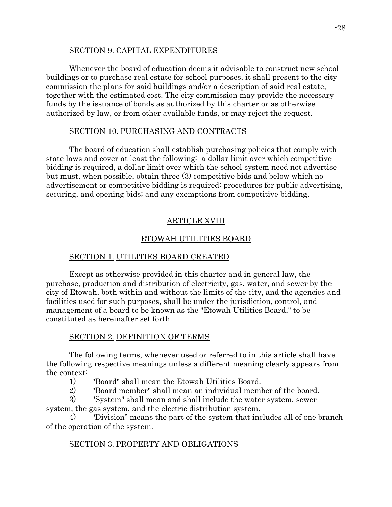## SECTION 9. CAPITAL EXPENDITURES

Whenever the board of education deems it advisable to construct new school buildings or to purchase real estate for school purposes, it shall present to the city commission the plans for said buildings and/or a description of said real estate, together with the estimated cost. The city commission may provide the necessary funds by the issuance of bonds as authorized by this charter or as otherwise authorized by law, or from other available funds, or may reject the request.

# SECTION 10. PURCHASING AND CONTRACTS

The board of education shall establish purchasing policies that comply with state laws and cover at least the following: a dollar limit over which competitive bidding is required, a dollar limit over which the school system need not advertise but must, when possible, obtain three (3) competitive bids and below which no advertisement or competitive bidding is required; procedures for public advertising, securing, and opening bids; and any exemptions from competitive bidding.

# ARTICLE XVIII

# ETOWAH UTILITIES BOARD

# SECTION 1. UTILITIES BOARD CREATED

Except as otherwise provided in this charter and in general law, the purchase, production and distribution of electricity, gas, water, and sewer by the city of Etowah, both within and without the limits of the city, and the agencies and facilities used for such purposes, shall be under the jurisdiction, control, and management of a board to be known as the "Etowah Utilities Board," to be constituted as hereinafter set forth.

# SECTION 2. DEFINITION OF TERMS

The following terms, whenever used or referred to in this article shall have the following respective meanings unless a different meaning clearly appears from the context:

- 1) "Board" shall mean the Etowah Utilities Board.
- 2) "Board member" shall mean an individual member of the board.

3) "System" shall mean and shall include the water system, sewer system, the gas system, and the electric distribution system.

4) "Division" means the part of the system that includes all of one branch of the operation of the system.

# SECTION 3. PROPERTY AND OBLIGATIONS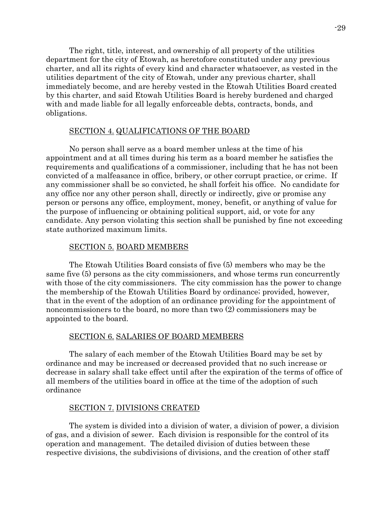The right, title, interest, and ownership of all property of the utilities department for the city of Etowah, as heretofore constituted under any previous charter, and all its rights of every kind and character whatsoever, as vested in the utilities department of the city of Etowah, under any previous charter, shall immediately become, and are hereby vested in the Etowah Utilities Board created by this charter, and said Etowah Utilities Board is hereby burdened and charged with and made liable for all legally enforceable debts, contracts, bonds, and obligations.

# SECTION 4. QUALIFICATIONS OF THE BOARD

No person shall serve as a board member unless at the time of his appointment and at all times during his term as a board member he satisfies the requirements and qualifications of a commissioner, including that he has not been convicted of a malfeasance in office, bribery, or other corrupt practice, or crime. If any commissioner shall be so convicted, he shall forfeit his office. No candidate for any office nor any other person shall, directly or indirectly, give or promise any person or persons any office, employment, money, benefit, or anything of value for the purpose of influencing or obtaining political support, aid, or vote for any candidate. Any person violating this section shall be punished by fine not exceeding state authorized maximum limits.

## SECTION 5. BOARD MEMBERS

The Etowah Utilities Board consists of five (5) members who may be the same five (5) persons as the city commissioners, and whose terms run concurrently with those of the city commissioners. The city commission has the power to change the membership of the Etowah Utilities Board by ordinance; provided, however, that in the event of the adoption of an ordinance providing for the appointment of noncommissioners to the board, no more than two (2) commissioners may be appointed to the board.

### SECTION 6. SALARIES OF BOARD MEMBERS

The salary of each member of the Etowah Utilities Board may be set by ordinance and may be increased or decreased provided that no such increase or decrease in salary shall take effect until after the expiration of the terms of office of all members of the utilities board in office at the time of the adoption of such ordinance

### SECTION 7. DIVISIONS CREATED

The system is divided into a division of water, a division of power, a division of gas, and a division of sewer. Each division is responsible for the control of its operation and management. The detailed division of duties between these respective divisions, the subdivisions of divisions, and the creation of other staff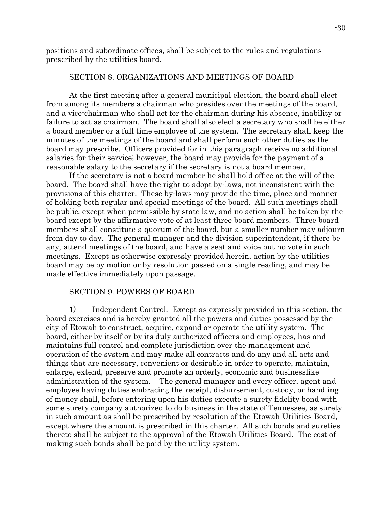positions and subordinate offices, shall be subject to the rules and regulations prescribed by the utilities board.

#### SECTION 8. ORGANIZATIONS AND MEETINGS OF BOARD

At the first meeting after a general municipal election, the board shall elect from among its members a chairman who presides over the meetings of the board, and a vice-chairman who shall act for the chairman during his absence, inability or failure to act as chairman. The board shall also elect a secretary who shall be either a board member or a full time employee of the system. The secretary shall keep the minutes of the meetings of the board and shall perform such other duties as the board may prescribe. Officers provided for in this paragraph receive no additional salaries for their service; however, the board may provide for the payment of a reasonable salary to the secretary if the secretary is not a board member.

If the secretary is not a board member he shall hold office at the will of the board. The board shall have the right to adopt by-laws, not inconsistent with the provisions of this charter. These by-laws may provide the time, place and manner of holding both regular and special meetings of the board. All such meetings shall be public, except when permissible by state law, and no action shall be taken by the board except by the affirmative vote of at least three board members. Three board members shall constitute a quorum of the board, but a smaller number may adjourn from day to day. The general manager and the division superintendent, if there be any, attend meetings of the board, and have a seat and voice but no vote in such meetings. Except as otherwise expressly provided herein, action by the utilities board may be by motion or by resolution passed on a single reading, and may be made effective immediately upon passage.

### SECTION 9. POWERS OF BOARD

1) Independent Control. Except as expressly provided in this section, the board exercises and is hereby granted all the powers and duties possessed by the city of Etowah to construct, acquire, expand or operate the utility system. The board, either by itself or by its duly authorized officers and employees, has and maintains full control and complete jurisdiction over the management and operation of the system and may make all contracts and do any and all acts and things that are necessary, convenient or desirable in order to operate, maintain, enlarge, extend, preserve and promote an orderly, economic and businesslike administration of the system. The general manager and every officer, agent and employee having duties embracing the receipt, disbursement, custody, or handling of money shall, before entering upon his duties execute a surety fidelity bond with some surety company authorized to do business in the state of Tennessee, as surety in such amount as shall be prescribed by resolution of the Etowah Utilities Board, except where the amount is prescribed in this charter. All such bonds and sureties thereto shall be subject to the approval of the Etowah Utilities Board. The cost of making such bonds shall be paid by the utility system.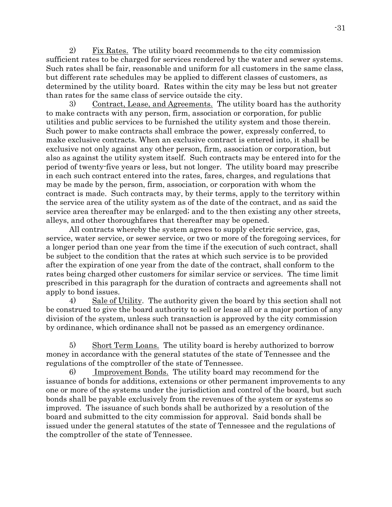2) Fix Rates. The utility board recommends to the city commission sufficient rates to be charged for services rendered by the water and sewer systems. Such rates shall be fair, reasonable and uniform for all customers in the same class, but different rate schedules may be applied to different classes of customers, as determined by the utility board. Rates within the city may be less but not greater than rates for the same class of service outside the city.

3) Contract, Lease, and Agreements. The utility board has the authority to make contracts with any person, firm, association or corporation, for public utilities and public services to be furnished the utility system and those therein. Such power to make contracts shall embrace the power, expressly conferred, to make exclusive contracts. When an exclusive contract is entered into, it shall be exclusive not only against any other person, firm, association or corporation, but also as against the utility system itself. Such contracts may be entered into for the period of twenty-five years or less, but not longer. The utility board may prescribe in each such contract entered into the rates, fares, charges, and regulations that may be made by the person, firm, association, or corporation with whom the contract is made. Such contracts may, by their terms, apply to the territory within the service area of the utility system as of the date of the contract, and as said the service area thereafter may be enlarged; and to the then existing any other streets, alleys, and other thoroughfares that thereafter may be opened.

All contracts whereby the system agrees to supply electric service, gas, service, water service, or sewer service, or two or more of the foregoing services, for a longer period than one year from the time if the execution of such contract, shall be subject to the condition that the rates at which such service is to be provided after the expiration of one year from the date of the contract, shall conform to the rates being charged other customers for similar service or services. The time limit prescribed in this paragraph for the duration of contracts and agreements shall not apply to bond issues.

4) Sale of Utility. The authority given the board by this section shall not be construed to give the board authority to sell or lease all or a major portion of any division of the system, unless such transaction is approved by the city commission by ordinance, which ordinance shall not be passed as an emergency ordinance.

5) Short Term Loans. The utility board is hereby authorized to borrow money in accordance with the general statutes of the state of Tennessee and the regulations of the comptroller of the state of Tennessee.

6) Improvement Bonds. The utility board may recommend for the issuance of bonds for additions, extensions or other permanent improvements to any one or more of the systems under the jurisdiction and control of the board, but such bonds shall be payable exclusively from the revenues of the system or systems so improved. The issuance of such bonds shall be authorized by a resolution of the board and submitted to the city commission for approval. Said bonds shall be issued under the general statutes of the state of Tennessee and the regulations of the comptroller of the state of Tennessee.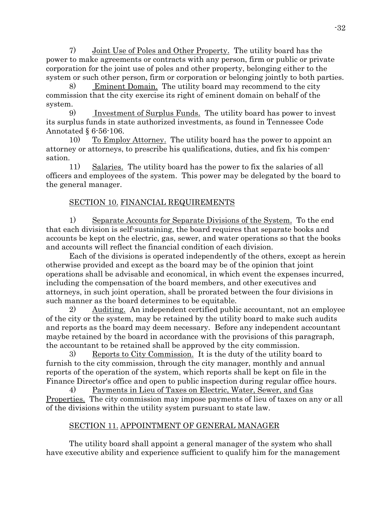7) Joint Use of Poles and Other Property. The utility board has the power to make agreements or contracts with any person, firm or public or private corporation for the joint use of poles and other property, belonging either to the system or such other person, firm or corporation or belonging jointly to both parties.

8) Eminent Domain. The utility board may recommend to the city commission that the city exercise its right of eminent domain on behalf of the system.

9) Investment of Surplus Funds. The utility board has power to invest its surplus funds in state authorized investments, as found in Tennessee Code Annotated § 6-56-106.

10) To Employ Attorney. The utility board has the power to appoint an attorney or attorneys, to prescribe his qualifications, duties, and fix his compensation.

11) Salaries. The utility board has the power to fix the salaries of all officers and employees of the system. This power may be delegated by the board to the general manager.

# SECTION 10. FINANCIAL REQUIREMENTS

1) Separate Accounts for Separate Divisions of the System. To the end that each division is self-sustaining, the board requires that separate books and accounts be kept on the electric, gas, sewer, and water operations so that the books and accounts will reflect the financial condition of each division.

Each of the divisions is operated independently of the others, except as herein otherwise provided and except as the board may be of the opinion that joint operations shall be advisable and economical, in which event the expenses incurred, including the compensation of the board members, and other executives and attorneys, in such joint operation, shall be prorated between the four divisions in such manner as the board determines to be equitable.

2) Auditing. An independent certified public accountant, not an employee of the city or the system, may be retained by the utility board to make such audits and reports as the board may deem necessary. Before any independent accountant maybe retained by the board in accordance with the provisions of this paragraph, the accountant to be retained shall be approved by the city commission.

3) Reports to City Commission. It is the duty of the utility board to furnish to the city commission, through the city manager, monthly and annual reports of the operation of the system, which reports shall be kept on file in the Finance Director's office and open to public inspection during regular office hours.

4) Payments in Lieu of Taxes on Electric, Water, Sewer, and Gas Properties. The city commission may impose payments of lieu of taxes on any or all of the divisions within the utility system pursuant to state law.

# SECTION 11. APPOINTMENT OF GENERAL MANAGER

The utility board shall appoint a general manager of the system who shall have executive ability and experience sufficient to qualify him for the management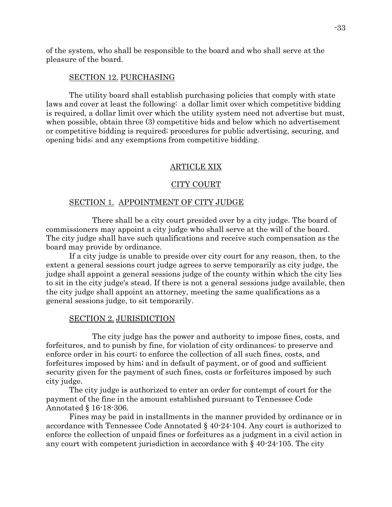of the system, who shall be responsible to the board and who shall serve at the pleasure of the board.

#### SECTION 12. PURCHASING

The utility board shall establish purchasing policies that comply with state laws and cover at least the following: a dollar limit over which competitive bidding is required, a dollar limit over which the utility system need not advertise but must, when possible, obtain three (3) competitive bids and below which no advertisement or competitive bidding is required; procedures for public advertising, securing, and opening bids; and any exemptions from competitive bidding.

## ARTICLE XIX

#### CITY COURT

#### SECTION 1. APPOINTMENT OF CITY JUDGE

There shall be a city court presided over by a city judge. The board of commissioners may appoint a city judge who shall serve at the will of the board. The city judge shall have such qualifications and receive such compensation as the board may provide by ordinance.

If a city judge is unable to preside over city court for any reason, then, to the extent a general sessions court judge agrees to serve temporarily as city judge, the judge shall appoint a general sessions judge of the county within which the city lies to sit in the city judge's stead. If there is not a general sessions judge available, then the city judge shall appoint an attorney, meeting the same qualifications as a general sessions judge, to sit temporarily.

#### SECTION 2. JURISDICTION

The city judge has the power and authority to impose fines, costs, and forfeitures, and to punish by fine, for violation of city ordinances; to preserve and enforce order in his court; to enforce the collection of all such fines, costs, and forfeitures imposed by him; and in default of payment, or of good and sufficient security given for the payment of such fines, costs or forfeitures imposed by such city judge.

The city judge is authorized to enter an order for contempt of court for the payment of the fine in the amount established pursuant to Tennessee Code Annotated § 16-18-306.

Fines may be paid in installments in the manner provided by ordinance or in accordance with Tennessee Code Annotated § 40-24-104. Any court is authorized to enforce the collection of unpaid fines or forfeitures as a judgment in a civil action in any court with competent jurisdiction in accordance with § 40-24-105. The city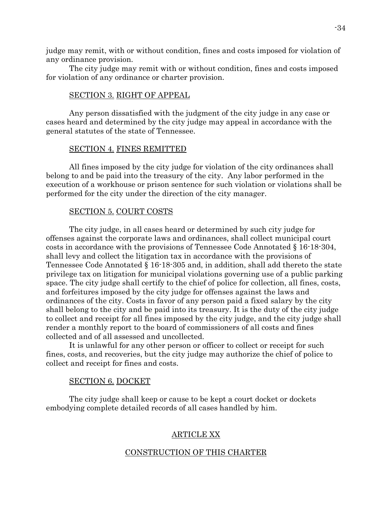judge may remit, with or without condition, fines and costs imposed for violation of any ordinance provision.

The city judge may remit with or without condition, fines and costs imposed for violation of any ordinance or charter provision.

## SECTION 3. RIGHT OF APPEAL

Any person dissatisfied with the judgment of the city judge in any case or cases heard and determined by the city judge may appeal in accordance with the general statutes of the state of Tennessee.

#### SECTION 4. FINES REMITTED

All fines imposed by the city judge for violation of the city ordinances shall belong to and be paid into the treasury of the city. Any labor performed in the execution of a workhouse or prison sentence for such violation or violations shall be performed for the city under the direction of the city manager.

#### SECTION 5. COURT COSTS

The city judge, in all cases heard or determined by such city judge for offenses against the corporate laws and ordinances, shall collect municipal court costs in accordance with the provisions of Tennessee Code Annotated § 16-18-304, shall levy and collect the litigation tax in accordance with the provisions of Tennessee Code Annotated § 16-18-305 and, in addition, shall add thereto the state privilege tax on litigation for municipal violations governing use of a public parking space. The city judge shall certify to the chief of police for collection, all fines, costs, and forfeitures imposed by the city judge for offenses against the laws and ordinances of the city. Costs in favor of any person paid a fixed salary by the city shall belong to the city and be paid into its treasury. It is the duty of the city judge to collect and receipt for all fines imposed by the city judge, and the city judge shall render a monthly report to the board of commissioners of all costs and fines collected and of all assessed and uncollected.

It is unlawful for any other person or officer to collect or receipt for such fines, costs, and recoveries, but the city judge may authorize the chief of police to collect and receipt for fines and costs.

#### SECTION 6. DOCKET

The city judge shall keep or cause to be kept a court docket or dockets embodying complete detailed records of all cases handled by him.

### ARTICLE XX

#### CONSTRUCTION OF THIS CHARTER